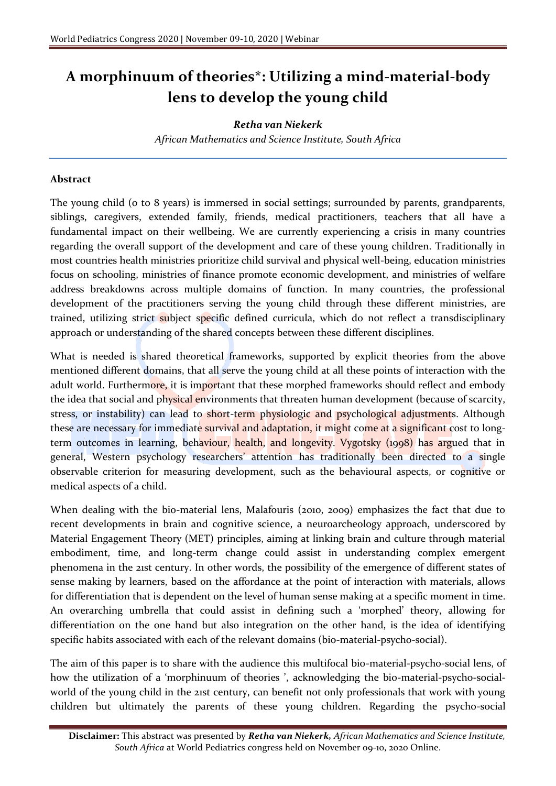## **A morphinuum of theories\*: Utilizing a mind-material-body lens to develop the young child**

## *Retha van Niekerk*

*African Mathematics and Science Institute, South Africa*

## **Abstract**

The young child (0 to 8 years) is immersed in social settings; surrounded by parents, grandparents, siblings, caregivers, extended family, friends, medical practitioners, teachers that all have a fundamental impact on their wellbeing. We are currently experiencing a crisis in many countries regarding the overall support of the development and care of these young children. Traditionally in most countries health ministries prioritize child survival and physical well-being, education ministries focus on schooling, ministries of finance promote economic development, and ministries of welfare address breakdowns across multiple domains of function. In many countries, the professional development of the practitioners serving the young child through these different ministries, are trained, utilizing strict subject specific defined curricula, which do not reflect a transdisciplinary approach or understanding of the shared concepts between these different disciplines.

What is needed is shared theoretical frameworks, supported by explicit theories from the above mentioned different domains, that all serve the young child at all these points of interaction with the adult world. Furthermore, it is important that these morphed frameworks should reflect and embody the idea that social and physical environments that threaten human development (because of scarcity, stress, or instability) can lead to short-term physiologic and psychological adjustments. Although these are necessary for immediate survival and adaptation, it might come at a significant cost to longterm outcomes in learning, behaviour, health, and longevity. Vygotsky (1998) has argued that in general, Western psychology researchers' attention has traditionally been directed to a single observable criterion for measuring development, such as the behavioural aspects, or cognitive or medical aspects of a child.

When dealing with the bio-material lens, Malafouris (2010, 2009) emphasizes the fact that due to recent developments in brain and cognitive science, a neuroarcheology approach, underscored by Material Engagement Theory (MET) principles, aiming at linking brain and culture through material embodiment, time, and long-term change could assist in understanding complex emergent phenomena in the 21st century. In other words, the possibility of the emergence of different states of sense making by learners, based on the affordance at the point of interaction with materials, allows for differentiation that is dependent on the level of human sense making at a specific moment in time. An overarching umbrella that could assist in defining such a 'morphed' theory, allowing for differentiation on the one hand but also integration on the other hand, is the idea of identifying specific habits associated with each of the relevant domains (bio-material-psycho-social).

The aim of this paper is to share with the audience this multifocal bio-material-psycho-social lens, of how the utilization of a 'morphinuum of theories ', acknowledging the bio-material-psycho-socialworld of the young child in the 21st century, can benefit not only professionals that work with young children but ultimately the parents of these young children. Regarding the psycho-social